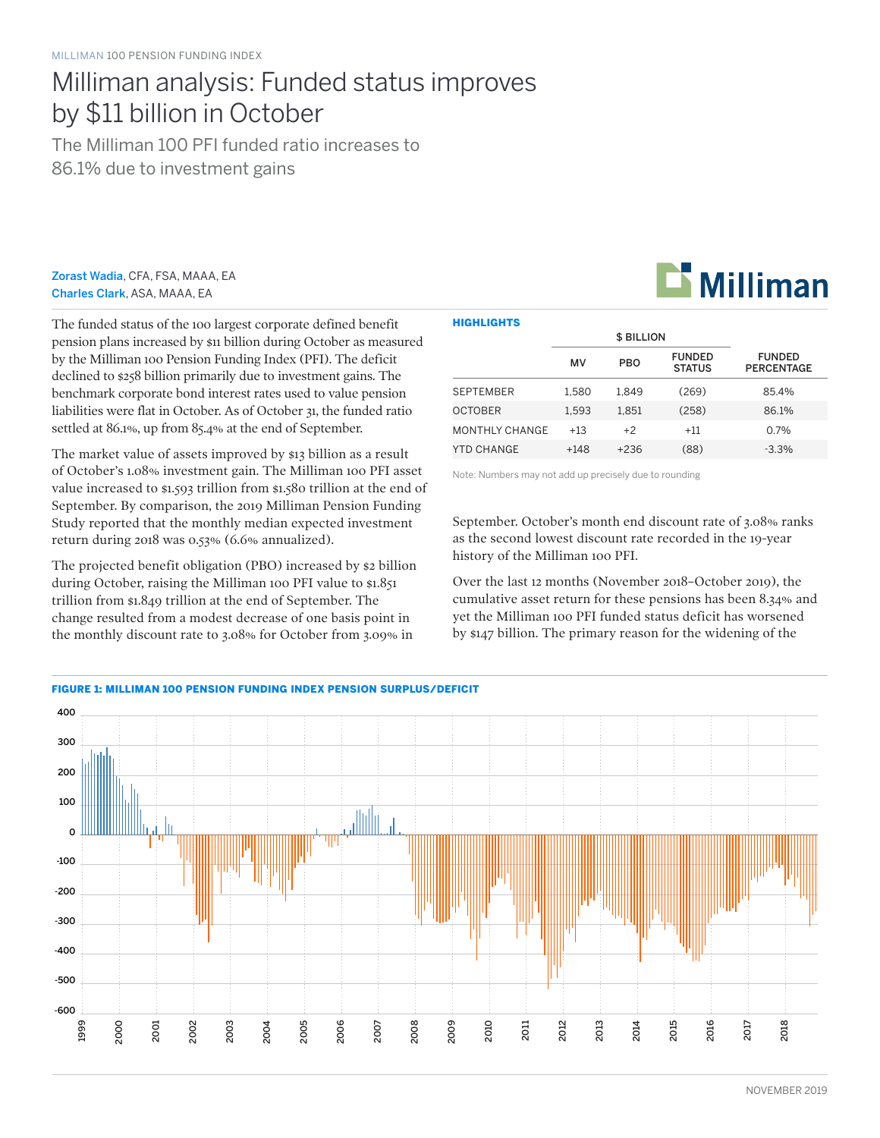# Milliman analysis: Funded status improves by \$11 billion in October

The Milliman 100 PFI funded ratio increases to 86.1% due to investment gains

Zorast Wadia, CFA, FSA, MAAA, EA Charles Clark, ASA, MAAA, EA

The funded status of the 100 largest corporate defined benefit pension plans increased by \$11 billion during October as measured by the Milliman 100 Pension Funding Index (PFI). The deficit declined to \$258 billion primarily due to investment gains. The benchmark corporate bond interest rates used to value pension liabilities were flat in October. As of October 31, the funded ratio settled at 86.1%, up from 85.4% at the end of September.

The market value of assets improved by \$13 billion as a result of October's 1.08% investment gain. The Milliman 100 PFI asset value increased to \$1.593 trillion from \$1.580 trillion at the end of September. By comparison, the 2019 Milliman Pension Funding Study reported that the monthly median expected investment return during 2018 was 0.53% (6.6% annualized).

The projected benefit obligation (PBO) increased by \$2 billion during October, raising the Milliman 100 PFI value to \$1.851 trillion from \$1.849 trillion at the end of September. The change resulted from a modest decrease of one basis point in the monthly discount rate to 3.08% for October from 3.09% in

| <b>HIGHLIGHTS</b>     |        |                   |                                |                                    |  |  |  |  |  |
|-----------------------|--------|-------------------|--------------------------------|------------------------------------|--|--|--|--|--|
|                       |        | <b>\$ BILLION</b> |                                |                                    |  |  |  |  |  |
|                       | MV     | <b>PBO</b>        | <b>FUNDED</b><br><b>STATUS</b> | <b>FUNDED</b><br><b>PERCENTAGE</b> |  |  |  |  |  |
| <b>SEPTEMBER</b>      | 1.580  | 1.849             | (269)                          | 85.4%                              |  |  |  |  |  |
| <b>OCTOBER</b>        | 1.593  | 1.851             | (258)                          | 86.1%                              |  |  |  |  |  |
| <b>MONTHLY CHANGE</b> | $+13$  | $+2$              | $+11$                          | $0.7\%$                            |  |  |  |  |  |
| YTD CHANGE            | $+148$ | $+236$            | (88)                           | $-3.3\%$                           |  |  |  |  |  |

Note: Numbers may not add up precisely due to rounding

September. October's month end discount rate of 3.08% ranks as the second lowest discount rate recorded in the 19-year history of the Milliman 100 PFI.

Over the last 12 months (November 2018–October 2019), the cumulative asset return for these pensions has been 8.34% and yet the Milliman 100 PFI funded status deficit has worsened by \$147 billion. The primary reason for the widening of the



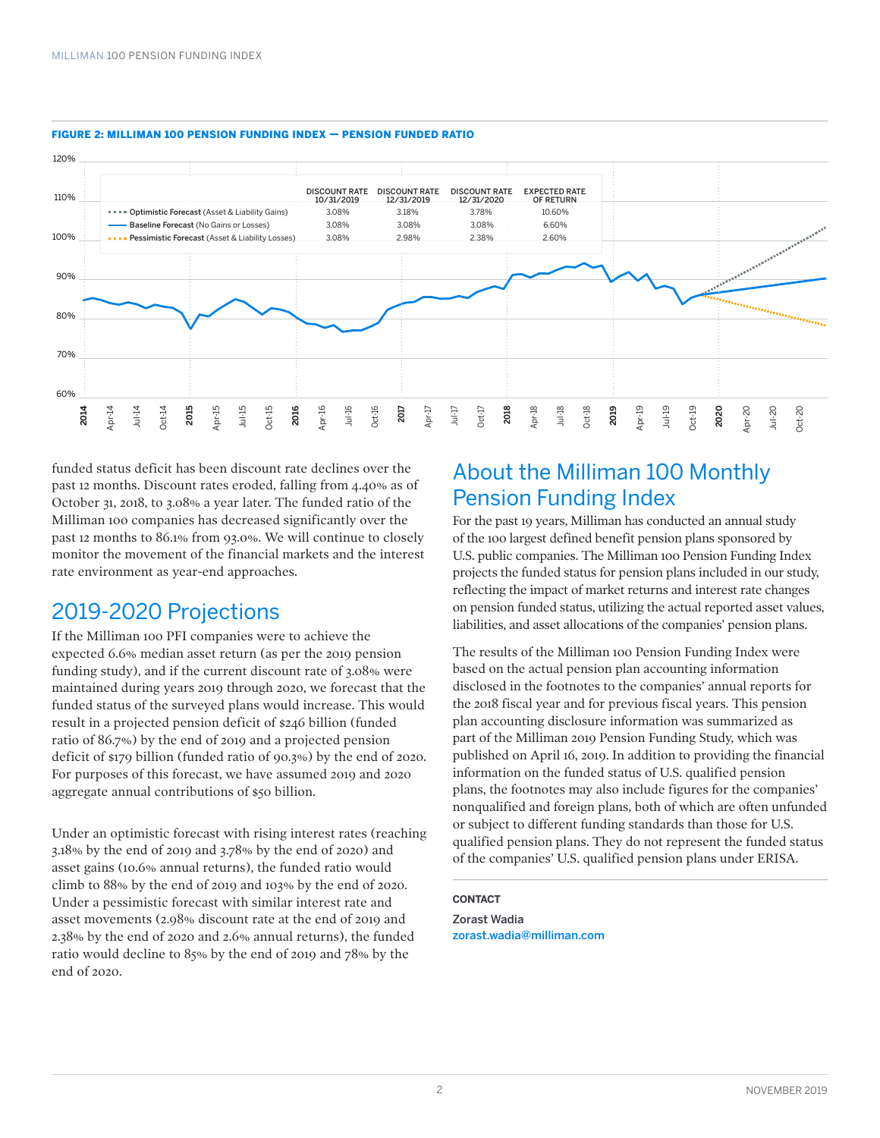

#### FIGURE 2: MILLIMAN 100 PENSION FUNDING INDEX — PENSION FUNDED RATIO

funded status deficit has been discount rate declines over the past 12 months. Discount rates eroded, falling from 4.40% as of October 31, 2018, to 3.08% a year later. The funded ratio of the Milliman 100 companies has decreased significantly over the past 12 months to 86.1% from 93.0%. We will continue to closely monitor the movement of the financial markets and the interest rate environment as year-end approaches.

### 2019-2020 Projections

If the Milliman 100 PFI companies were to achieve the expected 6.6% median asset return (as per the 2019 pension funding study), and if the current discount rate of 3.08% were maintained during years 2019 through 2020, we forecast that the funded status of the surveyed plans would increase. This would result in a projected pension deficit of \$246 billion (funded ratio of 86.7%) by the end of 2019 and a projected pension deficit of \$179 billion (funded ratio of 90.3%) by the end of 2020. For purposes of this forecast, we have assumed 2019 and 2020 aggregate annual contributions of \$50 billion.

Under an optimistic forecast with rising interest rates (reaching 3.18% by the end of 2019 and 3.78% by the end of 2020) and asset gains (10.6% annual returns), the funded ratio would climb to 88% by the end of 2019 and 103% by the end of 2020. Under a pessimistic forecast with similar interest rate and asset movements (2.98% discount rate at the end of 2019 and 2.38% by the end of 2020 and 2.6% annual returns), the funded ratio would decline to 85% by the end of 2019 and 78% by the end of 2020.

## About the Milliman 100 Monthly Pension Funding Index

For the past 19 years, Milliman has conducted an annual study of the 100 largest defined benefit pension plans sponsored by U.S. public companies. The Milliman 100 Pension Funding Index projects the funded status for pension plans included in our study, reflecting the impact of market returns and interest rate changes on pension funded status, utilizing the actual reported asset values, liabilities, and asset allocations of the companies' pension plans.

The results of the Milliman 100 Pension Funding Index were based on the actual pension plan accounting information disclosed in the footnotes to the companies' annual reports for the 2018 fiscal year and for previous fiscal years. This pension plan accounting disclosure information was summarized as part of the Milliman 2019 Pension Funding Study, which was published on April 16, 2019. In addition to providing the financial information on the funded status of U.S. qualified pension plans, the footnotes may also include figures for the companies' nonqualified and foreign plans, both of which are often unfunded or subject to different funding standards than those for U.S. qualified pension plans. They do not represent the funded status of the companies' U.S. qualified pension plans under ERISA.

### **CONTACT**

Zorast Wadia zorast.wadia@milliman.com